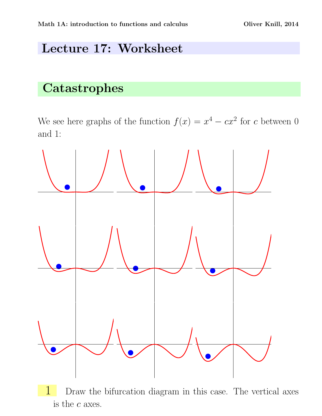## Lecture 17: Worksheet

## **Catastrophes**

We see here graphs of the function  $f(x) = x^4 - cx^2$  for c between 0 and 1: